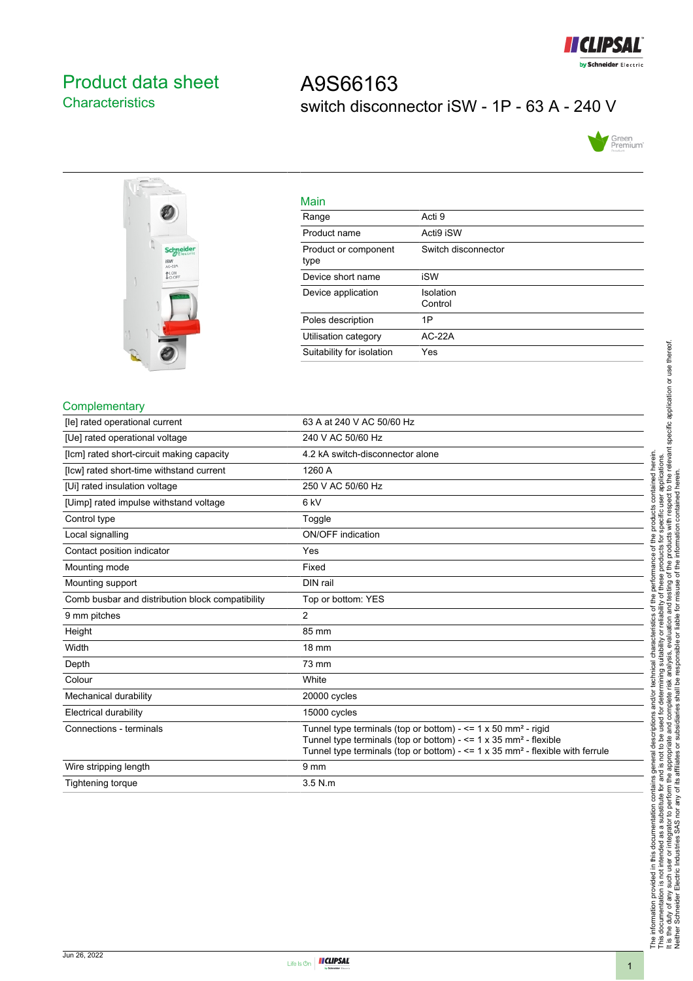

## <span id="page-0-0"></span>Product data sheet **Characteristics**

# A9S66163 switch disconnector iSW - 1P - 63 A - 240 V





| Main                         |                      |
|------------------------------|----------------------|
| Range                        | Acti 9               |
| Product name                 | Acti9 iSW            |
| Product or component<br>type | Switch disconnector  |
| Device short name            | iSW                  |
| Device application           | Isolation<br>Control |
| Poles description            | 1P                   |
| Utilisation category         | $AC-22A$             |
| Suitability for isolation    | Yes                  |

#### **Complementary**

| [le] rated operational current                   | 63 A at 240 V AC 50/60 Hz                                                                                                                                                                                                                                          |
|--------------------------------------------------|--------------------------------------------------------------------------------------------------------------------------------------------------------------------------------------------------------------------------------------------------------------------|
| [Ue] rated operational voltage                   | 240 V AC 50/60 Hz                                                                                                                                                                                                                                                  |
| [Icm] rated short-circuit making capacity        | 4.2 kA switch-disconnector alone                                                                                                                                                                                                                                   |
| [Icw] rated short-time withstand current         | 1260 A                                                                                                                                                                                                                                                             |
| [Ui] rated insulation voltage                    | 250 V AC 50/60 Hz                                                                                                                                                                                                                                                  |
| [Uimp] rated impulse withstand voltage           | 6 <sub>kV</sub>                                                                                                                                                                                                                                                    |
| Control type                                     | Toggle                                                                                                                                                                                                                                                             |
| Local signalling                                 | <b>ON/OFF</b> indication                                                                                                                                                                                                                                           |
| Contact position indicator                       | Yes                                                                                                                                                                                                                                                                |
| Mounting mode                                    | Fixed                                                                                                                                                                                                                                                              |
| Mounting support                                 | DIN rail                                                                                                                                                                                                                                                           |
| Comb busbar and distribution block compatibility | Top or bottom: YES                                                                                                                                                                                                                                                 |
| 9 mm pitches                                     | $\overline{2}$                                                                                                                                                                                                                                                     |
| Height                                           | 85 mm                                                                                                                                                                                                                                                              |
| Width                                            | <b>18 mm</b>                                                                                                                                                                                                                                                       |
| Depth                                            | 73 mm                                                                                                                                                                                                                                                              |
| Colour                                           | White                                                                                                                                                                                                                                                              |
| Mechanical durability                            | 20000 cycles                                                                                                                                                                                                                                                       |
| <b>Electrical durability</b>                     | 15000 cycles                                                                                                                                                                                                                                                       |
| Connections - terminals                          | Tunnel type terminals (top or bottom) - $\leq$ 1 x 50 mm <sup>2</sup> - rigid<br>Tunnel type terminals (top or bottom) - $\leq$ 1 x 35 mm <sup>2</sup> - flexible<br>Tunnel type terminals (top or bottom) - $\leq$ 1 x 35 mm <sup>2</sup> - flexible with ferrule |
| Wire stripping length                            | 9 <sub>mm</sub>                                                                                                                                                                                                                                                    |
| Tightening torque                                | 3.5 N.m                                                                                                                                                                                                                                                            |